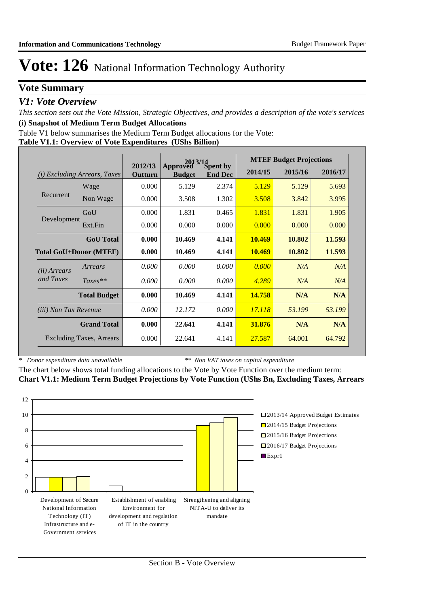## **Vote Summary**

### *V1: Vote Overview*

*This section sets out the Vote Mission, Strategic Objectives, and provides a description of the vote's services* **(i) Snapshot of Medium Term Budget Allocations** 

Table V1 below summarises the Medium Term Budget allocations for the Vote:

#### **Table V1.1: Overview of Vote Expenditures (UShs Billion)**

|                               |                                 |                    | $2013/14$<br>ved Spent by |                | <b>MTEF Budget Projections</b> |         |         |
|-------------------------------|---------------------------------|--------------------|---------------------------|----------------|--------------------------------|---------|---------|
| (i)                           | <i>Excluding Arrears, Taxes</i> | 2012/13<br>Outturn | Approved<br><b>Budget</b> | <b>End Dec</b> | 2014/15                        | 2015/16 | 2016/17 |
|                               | Wage                            | 0.000              | 5.129                     | 2.374          | 5.129                          | 5.129   | 5.693   |
| Recurrent                     | Non Wage                        | 0.000              | 3.508                     | 1.302          | 3.508                          | 3.842   | 3.995   |
|                               | GoU                             | 0.000              | 1.831                     | 0.465          | 1.831                          | 1.831   | 1.905   |
| Development                   | Ext.Fin                         | 0.000              | 0.000                     | 0.000          | 0.000                          | 0.000   | 0.000   |
|                               | <b>GoU</b> Total                | 0.000              | 10.469                    | 4.141          | 10.469                         | 10.802  | 11.593  |
| <b>Total GoU+Donor (MTEF)</b> |                                 | 0.000              | 10.469                    | 4.141          | 10.469                         | 10.802  | 11.593  |
| ( <i>ii</i> ) Arrears         | Arrears                         | 0.000              | 0.000                     | 0.000          | 0.000                          | N/A     | N/A     |
| and Taxes                     | $Taxes**$                       | 0.000              | 0.000                     | 0.000          | 4.289                          | N/A     | N/A     |
|                               | <b>Total Budget</b>             | 0.000              | 10.469                    | 4.141          | 14.758                         | N/A     | N/A     |
| <i>(iii)</i> Non Tax Revenue  |                                 | 0.000              | 12.172                    | 0.000          | 17.118                         | 53.199  | 53.199  |
|                               | <b>Grand Total</b>              | 0.000              | 22.641                    | 4.141          | 31.876                         | N/A     | N/A     |
|                               | <b>Excluding Taxes, Arrears</b> | 0.000              | 22.641                    | 4.141          | 27.587                         | 64.001  | 64.792  |

*\* Donor expenditure data unavailable*

*\*\* Non VAT taxes on capital expenditure*

The chart below shows total funding allocations to the Vote by Vote Function over the medium term: **Chart V1.1: Medium Term Budget Projections by Vote Function (UShs Bn, Excluding Taxes, Arrears**

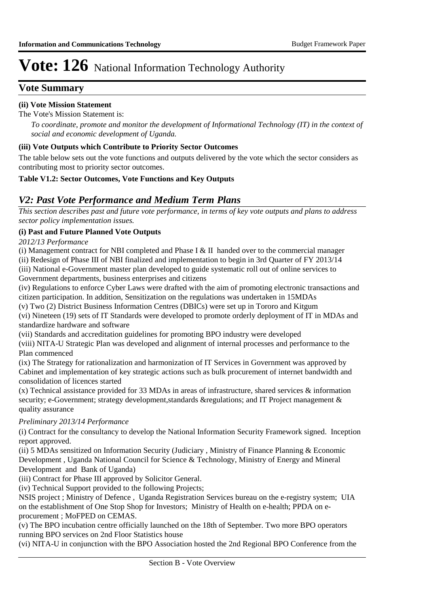### **Vote Summary**

### **(ii) Vote Mission Statement**

The Vote's Mission Statement is:

*To coordinate, promote and monitor the development of Informational Technology (IT) in the context of social and economic development of Uganda.*

#### **(iii) Vote Outputs which Contribute to Priority Sector Outcomes**

The table below sets out the vote functions and outputs delivered by the vote which the sector considers as contributing most to priority sector outcomes.

#### **Table V1.2: Sector Outcomes, Vote Functions and Key Outputs**

### *V2: Past Vote Performance and Medium Term Plans*

*This section describes past and future vote performance, in terms of key vote outputs and plans to address sector policy implementation issues.* 

#### **(i) Past and Future Planned Vote Outputs**

*2012/13 Performance*

(i) Management contract for NBI completed and Phase I & II handed over to the commercial manager

(ii) Redesign of Phase III of NBI finalized and implementation to begin in 3rd Quarter of FY 2013/14 (iii) National e-Government master plan developed to guide systematic roll out of online services to

Government departments, business enterprises and citizens

(iv) Regulations to enforce Cyber Laws were drafted with the aim of promoting electronic transactions and citizen participation. In addition, Sensitization on the regulations was undertaken in 15MDAs

(v) Two (2) District Business Information Centres (DBICs) were set up in Tororo and Kitgum (vi) Nineteen (19) sets of IT Standards were developed to promote orderly deployment of IT in MDAs and standardize hardware and software

(vii) Standards and accreditation guidelines for promoting BPO industry were developed

(viii) NITA-U Strategic Plan was developed and alignment of internal processes and performance to the Plan commenced

(ix) The Strategy for rationalization and harmonization of IT Services in Government was approved by Cabinet and implementation of key strategic actions such as bulk procurement of internet bandwidth and consolidation of licences started

(x) Technical assistance provided for 33 MDAs in areas of infrastructure, shared services & information security; e-Government; strategy development, standards & regulations; and IT Project management  $\&$ quality assurance

#### *Preliminary 2013/14 Performance*

(i) Contract for the consultancy to develop the National Information Security Framework signed. Inception report approved.

(ii) 5 MDAs sensitized on Information Security (Judiciary , Ministry of Finance Planning & Economic Development , Uganda National Council for Science & Technology, Ministry of Energy and Mineral Development and Bank of Uganda)

(iii) Contract for Phase III approved by Solicitor General.

(iv) Technical Support provided to the following Projects;

NSIS project ; Ministry of Defence , Uganda Registration Services bureau on the e-registry system; UIA on the establishment of One Stop Shop for Investors; Ministry of Health on e-health; PPDA on eprocurement ; MoFPED on CEMAS.

(v) The BPO incubation centre officially launched on the 18th of September. Two more BPO operators running BPO services on 2nd Floor Statistics house

(vi) NITA-U in conjunction with the BPO Association hosted the 2nd Regional BPO Conference from the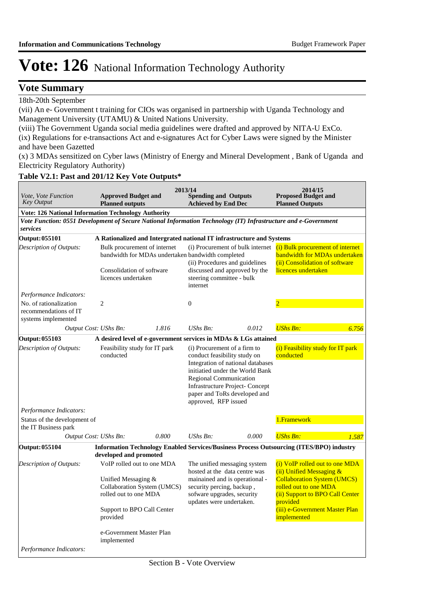### **Vote Summary**

18th-20th September

(vii) An e- Government t training for CIOs was organised in partnership with Uganda Technology and Management University (UTAMU) & United Nations University.

(viii) The Government Uganda social media guidelines were drafted and approved by NITA-U ExCo.

(ix) Regulations for e-transactions Act and e-signatures Act for Cyber Laws were signed by the Minister and have been Gazetted

(x) 3 MDAs sensitized on Cyber laws (Ministry of Energy and Mineral Development , Bank of Uganda and Electricity Regulatory Authority)

### **Table V2.1: Past and 201/12 Key Vote Outputs\***

| Vote, Vote Function<br><b>Key Output</b>                                                                                   | <b>Approved Budget and</b><br><b>Planned outputs</b>                                                                                                                                           |       | 2013/14<br><b>Spending and Outputs</b><br><b>Achieved by End Dec</b>                                           |                                                                                                                                                | 2014/15<br><b>Proposed Budget and</b><br><b>Planned Outputs</b>                                                                                                                                                           |
|----------------------------------------------------------------------------------------------------------------------------|------------------------------------------------------------------------------------------------------------------------------------------------------------------------------------------------|-------|----------------------------------------------------------------------------------------------------------------|------------------------------------------------------------------------------------------------------------------------------------------------|---------------------------------------------------------------------------------------------------------------------------------------------------------------------------------------------------------------------------|
| <b>Vote: 126 National Information Technology Authority</b>                                                                 |                                                                                                                                                                                                |       |                                                                                                                |                                                                                                                                                |                                                                                                                                                                                                                           |
| Vote Function: 0551 Development of Secure National Information Technology (IT) Infrastructure and e-Government<br>services |                                                                                                                                                                                                |       |                                                                                                                |                                                                                                                                                |                                                                                                                                                                                                                           |
| <b>Output: 055101</b>                                                                                                      | A Rationalized and Intergrated national IT infrastructure and Systems                                                                                                                          |       |                                                                                                                |                                                                                                                                                |                                                                                                                                                                                                                           |
| Description of Outputs:                                                                                                    | Bulk procurement of internet<br>bandwidth for MDAs undertaken bandwidth completed<br>Consolidation of software<br>licences undertaken                                                          |       | steering committee - bulk<br>internet                                                                          | (i) Procurement of bulk internet<br>(ii) Procedures and guidelines<br>discussed and approved by the                                            | (i) Bulk procurement of internet<br>bandwidth for MDAs undertaken<br>(ii) Consolidation of software<br>licences undertaken                                                                                                |
| Performance Indicators:                                                                                                    |                                                                                                                                                                                                |       |                                                                                                                |                                                                                                                                                |                                                                                                                                                                                                                           |
| No. of rationalization<br>recommendations of IT<br>systems implemented                                                     | $\overline{2}$                                                                                                                                                                                 |       | $\boldsymbol{0}$                                                                                               |                                                                                                                                                |                                                                                                                                                                                                                           |
|                                                                                                                            | Output Cost: UShs Bn:                                                                                                                                                                          | 1.816 | $UShs Bn$ :                                                                                                    | 0.012                                                                                                                                          | <b>UShs Bn:</b><br>6.756                                                                                                                                                                                                  |
| Output: 055103                                                                                                             | A desired level of e-government services in MDAs & LGs attained                                                                                                                                |       |                                                                                                                |                                                                                                                                                |                                                                                                                                                                                                                           |
| Description of Outputs:                                                                                                    | Feasibility study for IT park<br>conducted                                                                                                                                                     |       | (i) Procurement of a firm to<br>conduct feasibility study on<br>Regional Communication<br>approved, RFP issued | Integration of national databases<br>initiatied under the World Bank<br><b>Infrastructure Project- Concept</b><br>paper and ToRs developed and | (i) Feasibility study for IT park<br>conducted                                                                                                                                                                            |
| Performance Indicators:                                                                                                    |                                                                                                                                                                                                |       |                                                                                                                |                                                                                                                                                |                                                                                                                                                                                                                           |
| Status of the development of<br>the IT Business park                                                                       |                                                                                                                                                                                                |       |                                                                                                                |                                                                                                                                                | 1.Framework                                                                                                                                                                                                               |
|                                                                                                                            | Output Cost: UShs Bn:                                                                                                                                                                          | 0.800 | $UShs Bn$ :                                                                                                    | 0.000                                                                                                                                          | <b>UShs Bn:</b><br>1.587                                                                                                                                                                                                  |
| <b>Output: 055104</b>                                                                                                      | developed and promoted                                                                                                                                                                         |       |                                                                                                                |                                                                                                                                                | <b>Information Technology Enabled Services/Business Process Outsourcing (ITES/BPO) industry</b>                                                                                                                           |
| Description of Outputs:                                                                                                    | VoIP rolled out to one MDA<br>Unified Messaging &<br>Collaboration System (UMCS)<br>rolled out to one MDA<br>Support to BPO Call Center<br>provided<br>e-Government Master Plan<br>implemented |       | security percing, backup,<br>sofware upgrades, security<br>updates were undertaken.                            | The unified messaging system<br>hosted at the data centre was<br>mainained and is operational -                                                | (i) VoIP rolled out to one MDA<br>(ii) Unified Messaging &<br><b>Collaboration System (UMCS)</b><br>rolled out to one MDA<br>(ii) Support to BPO Call Center<br>provided<br>(iii) e-Government Master Plan<br>implemented |
| Performance Indicators:                                                                                                    |                                                                                                                                                                                                |       |                                                                                                                |                                                                                                                                                |                                                                                                                                                                                                                           |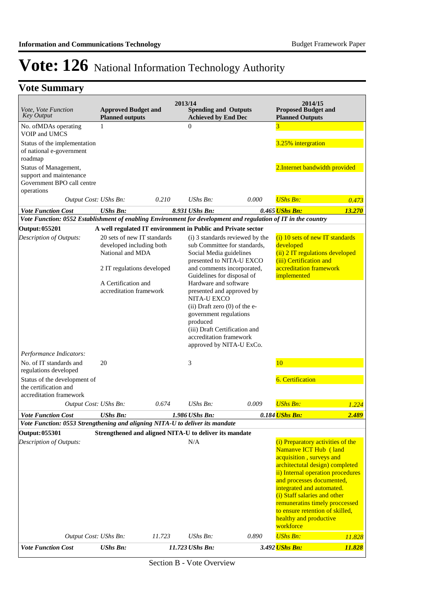## **Vote Summary**

| <i>Vote, Vote Function</i><br><b>Key Output</b>                                                               | <b>Approved Budget and</b><br><b>Planned outputs</b>                        |        | 2013/14<br><b>Spending and Outputs</b><br><b>Achieved by End Dec</b>                                                                                                                                                                 |                                                                 | 2014/15<br><b>Proposed Budget and</b><br><b>Planned Outputs</b>                                                                                                                                                                                                                                                                                                      |        |
|---------------------------------------------------------------------------------------------------------------|-----------------------------------------------------------------------------|--------|--------------------------------------------------------------------------------------------------------------------------------------------------------------------------------------------------------------------------------------|-----------------------------------------------------------------|----------------------------------------------------------------------------------------------------------------------------------------------------------------------------------------------------------------------------------------------------------------------------------------------------------------------------------------------------------------------|--------|
| No. of MDAs operating                                                                                         | $\mathbf{1}$                                                                |        | $\overline{0}$                                                                                                                                                                                                                       |                                                                 | 3                                                                                                                                                                                                                                                                                                                                                                    |        |
| VOIP and UMCS<br>Status of the implementation                                                                 |                                                                             |        |                                                                                                                                                                                                                                      |                                                                 | 3.25% intergration                                                                                                                                                                                                                                                                                                                                                   |        |
| of national e-government<br>roadmap                                                                           |                                                                             |        |                                                                                                                                                                                                                                      |                                                                 |                                                                                                                                                                                                                                                                                                                                                                      |        |
| Status of Management,<br>support and maintenance<br>Government BPO call centre<br>operations                  |                                                                             |        |                                                                                                                                                                                                                                      |                                                                 | 2. Internet bandwidth provided                                                                                                                                                                                                                                                                                                                                       |        |
| Output Cost: UShs Bn:                                                                                         |                                                                             | 0.210  | $UShs Bn$ :                                                                                                                                                                                                                          | 0.000                                                           | <b>UShs Bn:</b>                                                                                                                                                                                                                                                                                                                                                      | 0.473  |
| <b>Vote Function Cost</b>                                                                                     | <b>UShs Bn:</b>                                                             |        | 8.931 UShs Bn:                                                                                                                                                                                                                       |                                                                 | 0.465 UShs Bn:                                                                                                                                                                                                                                                                                                                                                       | 13.270 |
| Vote Function: 0552 Establishment of enabling Environment for development and regulation of IT in the country |                                                                             |        |                                                                                                                                                                                                                                      |                                                                 |                                                                                                                                                                                                                                                                                                                                                                      |        |
| <b>Output: 055201</b>                                                                                         | A well regulated IT environment in Public and Private sector                |        |                                                                                                                                                                                                                                      |                                                                 |                                                                                                                                                                                                                                                                                                                                                                      |        |
| Description of Outputs:                                                                                       | 20 sets of new IT standards<br>developed including both<br>National and MDA |        | Social Media guidelines<br>presented to NITA-U EXCO                                                                                                                                                                                  | (i) 3 standards reviewed by the<br>sub Committee for standards, | (i) 10 sets of new IT standards<br>developed<br>(ii) 2 IT regulations developed<br>(iii) Certification and<br>accreditation framework                                                                                                                                                                                                                                |        |
|                                                                                                               | 2 IT regulations developed                                                  |        | and comments incorporated,<br>Guidelines for disposal of                                                                                                                                                                             |                                                                 | implemented                                                                                                                                                                                                                                                                                                                                                          |        |
|                                                                                                               | A Certification and<br>accreditation framework                              |        | Hardware and software<br>presented and approved by<br>NITA-U EXCO<br>$(ii)$ Draft zero $(0)$ of the e-<br>government regulations<br>produced<br>(iii) Draft Certification and<br>accreditation framework<br>approved by NITA-U ExCo. |                                                                 |                                                                                                                                                                                                                                                                                                                                                                      |        |
| Performance Indicators:                                                                                       |                                                                             |        |                                                                                                                                                                                                                                      |                                                                 |                                                                                                                                                                                                                                                                                                                                                                      |        |
| No. of IT standards and<br>regulations developed                                                              | 20                                                                          |        | 3                                                                                                                                                                                                                                    |                                                                 | 10                                                                                                                                                                                                                                                                                                                                                                   |        |
| Status of the development of<br>the certification and<br>accreditation framework                              |                                                                             |        |                                                                                                                                                                                                                                      |                                                                 | <b>6.</b> Certification                                                                                                                                                                                                                                                                                                                                              |        |
| Output Cost: UShs Bn:                                                                                         |                                                                             | 0.674  | $UShs Bn$ :                                                                                                                                                                                                                          | 0.009                                                           | <b>UShs Bn:</b>                                                                                                                                                                                                                                                                                                                                                      | 1.224  |
| <b>Vote Function Cost</b>                                                                                     | <b>UShs Bn:</b>                                                             |        | 1.986 UShs Bn:                                                                                                                                                                                                                       |                                                                 | 0.184 UShs Bn:                                                                                                                                                                                                                                                                                                                                                       | 2.489  |
| Vote Function: 0553 Strengthening and aligning NITA-U to deliver its mandate                                  |                                                                             |        |                                                                                                                                                                                                                                      |                                                                 |                                                                                                                                                                                                                                                                                                                                                                      |        |
| Output: 055301                                                                                                | Strengthened and aligned NITA-U to deliver its mandate                      |        |                                                                                                                                                                                                                                      |                                                                 |                                                                                                                                                                                                                                                                                                                                                                      |        |
| Description of Outputs:                                                                                       |                                                                             |        | N/A                                                                                                                                                                                                                                  |                                                                 | (i) Preparatory activities of the<br>Namanve ICT Hub (land<br>acquisition, surveys and<br>architectutal design) completed<br>ii) Internal operation procedures<br>and processes documented,<br>integrated and automated.<br>(i) Staff salaries and other<br>remuneratins timely proccessed<br>to ensure retention of skilled,<br>healthy and productive<br>workforce |        |
| Output Cost: UShs Bn:                                                                                         |                                                                             | 11.723 | UShs Bn:                                                                                                                                                                                                                             | 0.890                                                           | <b>UShs Bn:</b>                                                                                                                                                                                                                                                                                                                                                      | 11.828 |
| <b>Vote Function Cost</b>                                                                                     | <b>UShs Bn:</b>                                                             |        | 11.723 UShs Bn:                                                                                                                                                                                                                      |                                                                 | 3.492 UShs Bn:                                                                                                                                                                                                                                                                                                                                                       | 11.828 |

Section B - Vote Overview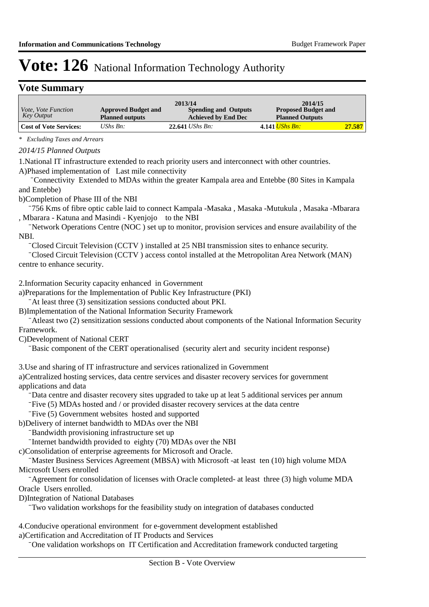### **Vote Summary**

|                               |                            | 2013/14                     | 2014/15                    |        |
|-------------------------------|----------------------------|-----------------------------|----------------------------|--------|
| <i>Vote, Vote Function</i>    | <b>Approved Budget and</b> | <b>Spending and Outputs</b> | <b>Proposed Budget and</b> |        |
| Key Output                    | <b>Planned outputs</b>     | <b>Achieved by End Dec</b>  | <b>Planned Outputs</b>     |        |
| <b>Cost of Vote Services:</b> | UShs $Bn$ :                | $22.641$ UShs Bn:           | 4.141 <i>UShs Bn:</i>      | 27.587 |

*\* Excluding Taxes and Arrears*

#### *2014/15 Planned Outputs*

1. National IT infrastructure extended to reach priority users and interconnect with other countries. A)Phased implementation of Last mile connectivity

-Connectivity Extended to MDAs within the greater Kampala area and Entebbe (80 Sites in Kampala and Entebbe)

b) Completion of Phase III of the NBI

<sup>-756</sup> Kms of fibre optic cable laid to connect Kampala -Masaka , Masaka -Mutukula , Masaka -Mbarara , Mbarara - Katuna and Masindi - Kyenjojo to the NBI

Network Operations Centre (NOC) set up to monitor, provision services and ensure availability of the NBI.

<sup>-</sup>Closed Circuit Television (CCTV) installed at 25 NBI transmission sites to enhance security.

<sup>-</sup>Closed Circuit Television (CCTV) access contol installed at the Metropolitan Area Network (MAN) centre to enhance security.

2. Information Security capacity enhanced in Government

a) Preparations for the Implementation of Public Key Infrastructure (PKI)

At least three (3) sensitization sessions conducted about PKI.

B) Implementation of the National Information Security Framework

- Atleast two (2) sensitization sessions conducted about components of the National Information Security Framework.

C)Development of National CERT

-Basic component of the CERT operationalised (security alert and security incident response)

3. Use and sharing of IT infrastructure and services rationalized in Government

a) Centralized hosting services, data centre services and disaster recovery services for government applications and data

Data centre and disaster recovery sites upgraded to take up at leat 5 additional services per annum

-Five (5) MDAs hosted and / or provided disaster recovery services at the data centre

⁻ Five (5) Government websites hosted and supported

b) Delivery of internet bandwidth to MDAs over the NBI

-Bandwidth provisioning infrastructure set up

-Internet bandwidth provided to eighty (70) MDAs over the NBI

c)Consolidation of enterprise agreements for Microsoft and Oracle.

Master Business Services Agreement (MBSA) with Microsoft -at least ten (10) high volume MDA Microsoft Users enrolled

Agreement for consolidation of licenses with Oracle completed- at least three (3) high volume MDA Oracle Users enrolled.

D) Integration of National Databases

⁻ Two validation workshops for the feasibility study on integration of databases conducted

4. Conducive operational environment for e-government development established a) Certification and Accreditation of IT Products and Services

-One validation workshops on IT Certification and Accreditation framework conducted targeting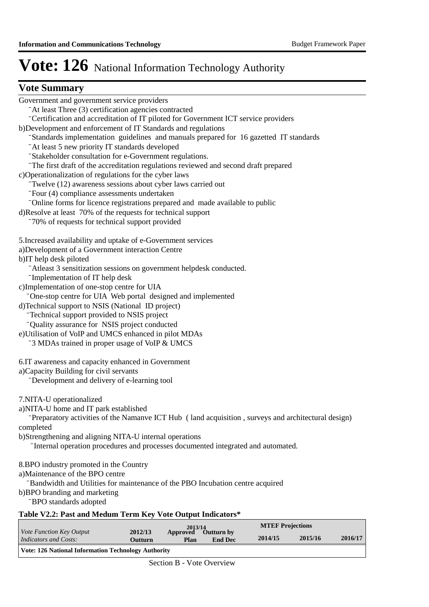## **Vote Summary**

| Government and government service providers                                                                                                             |
|---------------------------------------------------------------------------------------------------------------------------------------------------------|
| "At least Three (3) certification agencies contracted                                                                                                   |
| <sup>-</sup> Certification and accreditation of IT piloted for Government ICT service providers                                                         |
| b)Development and enforcement of IT Standards and regulations                                                                                           |
| "Standards implementation guidelines and manuals prepared for 16 gazetted IT standards                                                                  |
| -At least 5 new priority IT standards developed                                                                                                         |
| -Stakeholder consultation for e-Government regulations.                                                                                                 |
| -The first draft of the accreditation regulations reviewed and second draft prepared                                                                    |
| c)Operationalization of regulations for the cyber laws                                                                                                  |
| Twelve (12) awareness sessions about cyber laws carried out                                                                                             |
| Four (4) compliance assessments undertaken                                                                                                              |
| -Online forms for licence registrations prepared and made available to public                                                                           |
| d)Resolve at least 70% of the requests for technical support                                                                                            |
| -70% of requests for technical support provided                                                                                                         |
| 5. Increased availability and uptake of e-Government services                                                                                           |
| a)Development of a Government interaction Centre                                                                                                        |
| b)IT help desk piloted                                                                                                                                  |
| -Atleast 3 sensitization sessions on government helpdesk conducted.                                                                                     |
| -Implementation of IT help desk                                                                                                                         |
| c)Implementation of one-stop centre for UIA                                                                                                             |
| "One-stop centre for UIA Web portal designed and implemented                                                                                            |
| d)Technical support to NSIS (National ID project)                                                                                                       |
| -Technical support provided to NSIS project                                                                                                             |
| -Quality assurance for NSIS project conducted                                                                                                           |
| e)Utilisation of VoIP and UMCS enhanced in pilot MDAs                                                                                                   |
| <sup>-</sup> 3 MDAs trained in proper usage of VoIP & UMCS                                                                                              |
|                                                                                                                                                         |
| 6. IT awareness and capacity enhanced in Government                                                                                                     |
| a)Capacity Building for civil servants                                                                                                                  |
| Development and delivery of e-learning tool                                                                                                             |
|                                                                                                                                                         |
| 7.NITA-U operationalized                                                                                                                                |
| a)NITA-U home and IT park established                                                                                                                   |
| Preparatory activities of the Namanve ICT Hub (land acquisition, surveys and architectural design)                                                      |
| completed                                                                                                                                               |
| b) Strengthening and aligning NITA-U internal operations                                                                                                |
| -Internal operation procedures and processes documented integrated and automated.                                                                       |
|                                                                                                                                                         |
| 8.BPO industry promoted in the Country<br>a)Maintenance of the BPO centre                                                                               |
|                                                                                                                                                         |
| <sup>-</sup> Bandwidth and Utilities for maintenance of the PBO Incubation centre acquired<br>b)BPO branding and marketing                              |
| -BPO standards adopted                                                                                                                                  |
|                                                                                                                                                         |
| Table V2.2: Past and Medum Term Key Vote Output Indicators*<br><b>MTEF Projections</b>                                                                  |
| $\begin{array}{c}\n 2013/14 \\ \  \, \textrm{Approved} \quad \  \, \textrm{O}\n\end{array}$<br>Vote Function Key Output<br>2012/13<br><b>Outturn by</b> |
| 2014/15<br>2015/16<br>2016/17<br><b>Indicators and Costs:</b><br><b>End Dec</b><br>Outturn<br><b>Plan</b>                                               |
| Vote: 126 National Information Technology Authority                                                                                                     |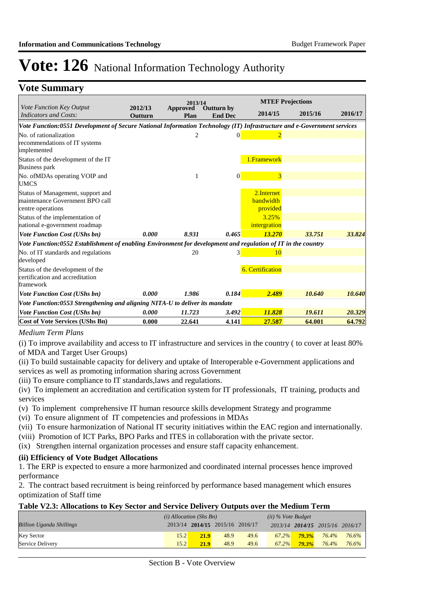### **Vote Summary**

|                                                                                                                        |                           | 2013/14          |                                     |                                             | <b>MTEF Projections</b> |         |
|------------------------------------------------------------------------------------------------------------------------|---------------------------|------------------|-------------------------------------|---------------------------------------------|-------------------------|---------|
| <i>Vote Function Key Output</i><br><b>Indicators and Costs:</b>                                                        | 2012/13<br><b>Outturn</b> | Approved<br>Plan | <b>Outturn by</b><br><b>End Dec</b> | 2014/15                                     | 2015/16                 | 2016/17 |
| Vote Function:0551 Development of Secure National Information Technology (IT) Infrastructure and e-Government services |                           |                  |                                     |                                             |                         |         |
| No. of rationalization<br>recommendations of IT systems<br>implemented                                                 |                           |                  | $\Omega$                            |                                             |                         |         |
| Status of the development of the IT<br><b>Business park</b>                                                            |                           |                  |                                     | 1.Framework                                 |                         |         |
| No. of MDAs operating VOIP and<br><b>UMCS</b>                                                                          |                           | 1                | $\vert$ 0                           | 3                                           |                         |         |
| Status of Management, support and<br>maintenance Government BPO call<br>centre operations                              |                           |                  |                                     | 2. Internet<br><b>bandwidth</b><br>provided |                         |         |
| Status of the implementation of<br>national e-government roadmap                                                       |                           |                  |                                     | 3.25%<br>intergration                       |                         |         |
| <b>Vote Function Cost (UShs bn)</b>                                                                                    | 0.000                     | 8.931            | 0.465                               | 13.270                                      | 33.751                  | 33.824  |
| Vote Function:0552 Establishment of enabling Environment for development and regulation of IT in the country           |                           |                  |                                     |                                             |                         |         |
| No. of IT standards and regulations<br>developed                                                                       |                           | 20               | $\overline{3}$                      | 10                                          |                         |         |
| Status of the development of the<br>certification and accreditation<br>framework                                       |                           |                  |                                     | <b>6. Certification</b>                     |                         |         |
| <b>Vote Function Cost (UShs bn)</b>                                                                                    | 0.000                     | 1.986            | 0.184                               | 2.489                                       | 10.640                  | 10.640  |
| Vote Function:0553 Strengthening and aligning NITA-U to deliver its mandate                                            |                           |                  |                                     |                                             |                         |         |
| <b>Vote Function Cost (UShs bn)</b>                                                                                    | 0.000                     | 11.723           | 3.492                               | 11.828                                      | 19.611                  | 20.329  |
| <b>Cost of Vote Services (UShs Bn)</b>                                                                                 | 0.000                     | 22.641           | 4.141                               | 27.587                                      | 64.001                  | 64.792  |

#### *Medium Term Plans*

(i) To improve availability and access to IT infrastructure and services in the country ( to cover at least 80% of MDA and Target User Groups)

(ii) To build sustainable capacity for delivery and uptake of Interoperable e-Government applications and services as well as promoting information sharing across Government

(iii) To ensure compliance to IT standards,laws and regulations.

(iv) To implement an accreditation and certification system for IT professionals, IT training, products and services

(v) To implement comprehensive IT human resource skills development Strategy and programme

- (vi) To ensure alignment of IT competencies and professions in MDAs
- (vii) To ensure harmonization of National IT security initiatives within the EAC region and internationally.
- (viii) Promotion of ICT Parks, BPO Parks and ITES in collaboration with the private sector.
- (ix) Strengthen internal organization processes and ensure staff capacity enhancement.

#### **(ii) Efficiency of Vote Budget Allocations**

1. The ERP is expected to ensure a more harmonized and coordinated internal processes hence improved performance

2. The contract based recruitment is being reinforced by performance based management which ensures optimization of Staff time

#### **Table V2.3: Allocations to Key Sector and Service Delivery Outputs over the Medium Term**

|                                 | $(i)$ Allocation (Shs Bn) |                                 |      | $(ii)$ % Vote Budget |          |          |                                 |       |
|---------------------------------|---------------------------|---------------------------------|------|----------------------|----------|----------|---------------------------------|-------|
| <b>Billion Uganda Shillings</b> |                           | 2013/14 2014/15 2015/16 2016/17 |      |                      |          |          | 2013/14 2014/15 2015/16 2016/17 |       |
| <b>Key Sector</b>               | 15.2                      | <b>21.9</b>                     | 48.9 | 49.6                 | $67.2\%$ | $79.3\%$ | 76.4%                           | 76.6% |
| Service Delivery                | 15.2                      | 21.9                            | 48.9 | 49.6                 | 67.2%    | $79.3\%$ | 76.4%                           | 76.6% |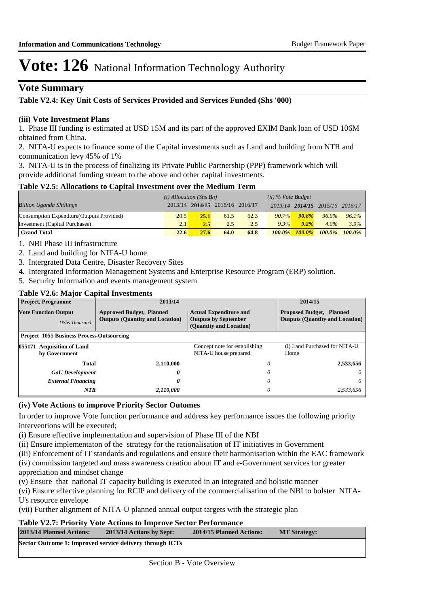### **Vote Summary**

## **Table V2.4: Key Unit Costs of Services Provided and Services Funded (Shs '000)**

#### **(iii) Vote Investment Plans**

1. Phase III funding is estimated at USD 15M and its part of the approved EXIM Bank loan of USD 106M obtained from China.

2. NITA-U expects to finance some of the Capital investments such as Land and building from NTR and communication levy 45% of 1%

3. NITA-U is in the process of finalizing its Private Public Partnership (PPP) framework which will provide additional funding stream to the above and other capital investments.

#### **Table V2.5: Allocations to Capital Investment over the Medium Term**

|                                           | $(i)$ Allocation (Shs Bn) |             |                                 | $(ii)$ % Vote Budget |           |           |                                 |           |
|-------------------------------------------|---------------------------|-------------|---------------------------------|----------------------|-----------|-----------|---------------------------------|-----------|
| <b>Billion Uganda Shillings</b>           |                           |             | 2013/14 2014/15 2015/16 2016/17 |                      |           |           | 2013/14 2014/15 2015/16 2016/17 |           |
| Consumption Expendture (Outputs Provided) | 20.5                      | <b>25.1</b> | 61.5                            | 62.3                 | $90.7\%$  | $90.8\%$  | $96.0\%$                        | $96.1\%$  |
| Investment (Capital Purchases)            | 2.1                       | 2.5         | 2.5                             | 2.5                  | 9.3%      | $9.2\%$   | $4.0\%$                         | 3.9%      |
| <b>Grand Total</b>                        | 22.6                      | 27.6        | 64.0                            | 64.8                 | $100.0\%$ | $100.0\%$ | $100.0\%$                       | $100.0\%$ |

1. NBI Phase III infrastructure

- 2. Land and building for NITA-U home
- 3. Intergrated Data Centre, Disaster Recovery Sites
- 4. Intergrated Information Management Systems and Enterprise Resource Program (ERP) solution.
- 5. Security Information and events management system

#### **Table V2.6: Major Capital Investments**

| <b>Project, Programme</b>                           | 2013/14                                                                   |                                                                                         | 2014/15                               |  |
|-----------------------------------------------------|---------------------------------------------------------------------------|-----------------------------------------------------------------------------------------|---------------------------------------|--|
| <b>Vote Function Output</b><br><b>UShs Thousand</b> | <b>Approved Budget, Planned</b><br><b>Outputs (Quantity and Location)</b> | <b>Actual Expenditure and</b><br><b>Outputs by September</b><br>(Quantity and Location) |                                       |  |
| <b>Project 1055 Business Process Outsourcing</b>    |                                                                           |                                                                                         |                                       |  |
| 055171 Acquisition of Land<br>by Government         |                                                                           | Concept note for establishing<br>NITA-U house prepared.                                 | (i) Land Purchased for NITA-U<br>Home |  |
| Total                                               | 2,110,000                                                                 | 0                                                                                       | 2,533,656                             |  |
| <b>GoU</b> Development                              | 0                                                                         | 0                                                                                       | 0                                     |  |
| <b>External Financing</b>                           | 0                                                                         | 0                                                                                       | $\theta$                              |  |
| <b>NTR</b>                                          | 2,110,000                                                                 | 0                                                                                       | 2.533.656                             |  |

#### **(iv) Vote Actions to improve Priority Sector Outomes**

In order to improve Vote function performance and address key performance issues the following priority interventions will be executed;

(i) Ensure effective implementation and supervision of Phase III of the NBI

(ii) Ensure implementaton of the strategy for the rationalisation of IT initiatives in Government

(iii) Enforcement of IT standards and regulations and ensure their harmonisation within the EAC framework

(iv) commission targeted and mass awareness creation about IT and e-Government services for greater appreciation and mindset change

(v) Ensure that national IT capacity building is executed in an integrated and holistic manner

(vi) Ensure effective planning for RCIP and delivery of the commercialisation of the NBI to bolster NITA-U's resource envelope

(vii) Further alignment of NITA-U planned annual output targets with the strategic plan

#### **Table V2.7: Priority Vote Actions to Improve Sector Performance**

| 2013/14 Planned Actions:                                 | 2013/14 Actions by Sept: | 2014/15 Planned Actions: | <b>MT Strategy:</b> |
|----------------------------------------------------------|--------------------------|--------------------------|---------------------|
| Sector Outcome 1: Improved service delivery through ICTs |                          |                          |                     |
|                                                          |                          |                          |                     |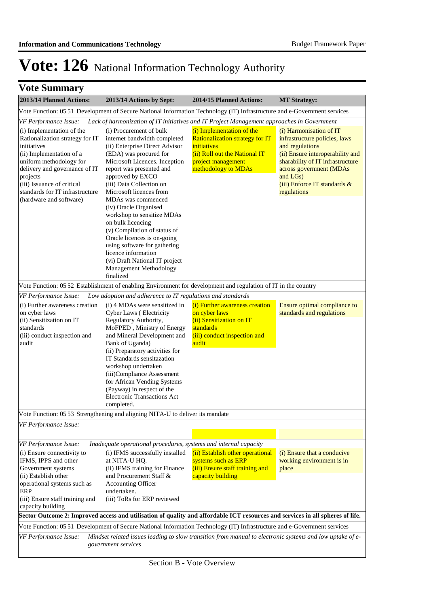|  | <b>Vote Summary</b> |  |
|--|---------------------|--|
|--|---------------------|--|

| 2013/14 Planned Actions:                                                                                                                                                                                                                                                                                    | 2013/14 Actions by Sept:                                                                                                                                                                                                                                                                                                                                                                                                                                                                                                                                                                                                                                          | 2014/15 Planned Actions:                                                                                                                                         | <b>MT Strategy:</b>                                                                                                                                                                                                                       |  |  |  |
|-------------------------------------------------------------------------------------------------------------------------------------------------------------------------------------------------------------------------------------------------------------------------------------------------------------|-------------------------------------------------------------------------------------------------------------------------------------------------------------------------------------------------------------------------------------------------------------------------------------------------------------------------------------------------------------------------------------------------------------------------------------------------------------------------------------------------------------------------------------------------------------------------------------------------------------------------------------------------------------------|------------------------------------------------------------------------------------------------------------------------------------------------------------------|-------------------------------------------------------------------------------------------------------------------------------------------------------------------------------------------------------------------------------------------|--|--|--|
|                                                                                                                                                                                                                                                                                                             | Vote Function: 05 51 Development of Secure National Information Technology (IT) Infrastructure and e-Government services                                                                                                                                                                                                                                                                                                                                                                                                                                                                                                                                          |                                                                                                                                                                  |                                                                                                                                                                                                                                           |  |  |  |
| <b>VF Performance Issue:</b><br>(i) Implementation of the<br>Rationalization strategy for IT<br>initiatives<br>(ii) Implementation of a<br>uniform methodology for<br>delivery and governance of IT<br>projects<br>(iii) Issuance of critical<br>standards for IT infrastructure<br>(hardware and software) | Lack of harmonization of IT initiatives and IT Project Management approaches in Government<br>(i) Procurement of bulk<br>internet bandwidth completed<br>(ii) Enterprise Direct Advisor<br>(EDA) was procured for<br>Microsoft Licences. Inception<br>report was presented and<br>approved by EXCO<br>(iii) Data Collection on<br>Microsoft licences from<br>MDAs was commenced<br>(iv) Oracle Organised<br>workshop to sensitize MDAs<br>on bulk licencing<br>(v) Compilation of status of<br>Oracle licences is on-going<br>using software for gathering<br>licence information<br>(vi) Draft National IT project<br><b>Management Methodology</b><br>finalized | (i) Implementation of the<br><b>Rationalization strategy for IT</b><br>initiatives<br>(ii) Roll out the National IT<br>project management<br>methodology to MDAs | (i) Harmonisation of IT<br>infrastructure policies, laws<br>and regulations<br>(ii) Ensure interoperability and<br>sharability of IT infrastructure<br>across government (MDAs<br>and LGs)<br>(iii) Enforce IT standards &<br>regulations |  |  |  |
|                                                                                                                                                                                                                                                                                                             | Vote Function: 05 52 Establishment of enabling Environment for development and regulation of IT in the country                                                                                                                                                                                                                                                                                                                                                                                                                                                                                                                                                    |                                                                                                                                                                  |                                                                                                                                                                                                                                           |  |  |  |
| VF Performance Issue:                                                                                                                                                                                                                                                                                       | Low adoption and adherence to IT regulations and standards                                                                                                                                                                                                                                                                                                                                                                                                                                                                                                                                                                                                        |                                                                                                                                                                  |                                                                                                                                                                                                                                           |  |  |  |
| (i) Further awareness creation<br>on cyber laws<br>(ii) Sensitization on IT<br>standards<br>(iii) conduct inspection and<br>audit                                                                                                                                                                           | (i) 4 MDAs were sensitized in<br>Cyber Laws (Electricity<br>Regulatory Authority,<br>MoFPED, Ministry of Energy<br>and Mineral Development and<br>Bank of Uganda)<br>(ii) Preparatory activities for<br>IT Standards sensitazation<br>workshop undertaken<br>(iii)Compliance Assessment<br>for African Vending Systems<br>(Payway) in respect of the<br><b>Electronic Transactions Act</b><br>completed.                                                                                                                                                                                                                                                          | (i) Further awareness creation<br>on cyber laws<br>(ii) Sensitization on IT<br>standards<br>(iii) conduct inspection and<br>audit                                | Ensure optimal compliance to<br>standards and regulations                                                                                                                                                                                 |  |  |  |
|                                                                                                                                                                                                                                                                                                             | Vote Function: 05 53 Strengthening and aligning NITA-U to deliver its mandate                                                                                                                                                                                                                                                                                                                                                                                                                                                                                                                                                                                     |                                                                                                                                                                  |                                                                                                                                                                                                                                           |  |  |  |
| VF Performance Issue:                                                                                                                                                                                                                                                                                       |                                                                                                                                                                                                                                                                                                                                                                                                                                                                                                                                                                                                                                                                   |                                                                                                                                                                  |                                                                                                                                                                                                                                           |  |  |  |
| VF Performance Issue:                                                                                                                                                                                                                                                                                       | Inadequate operational procedures, systems and internal capacity                                                                                                                                                                                                                                                                                                                                                                                                                                                                                                                                                                                                  |                                                                                                                                                                  |                                                                                                                                                                                                                                           |  |  |  |
| (i) Ensure connectivity to<br>IFMS, IPPS and other<br>Government systems<br>(ii) Establish other<br>operational systems such as                                                                                                                                                                             | (i) IFMS successfully installed<br>at NITA-U HQ.<br>(ii) IFMS training for Finance<br>and Procurement Staff &<br><b>Accounting Officer</b>                                                                                                                                                                                                                                                                                                                                                                                                                                                                                                                        | (ii) Establish other operational<br>systems such as ERP<br>(iii) Ensure staff training and<br>capacity building                                                  | (i) Ensure that a conducive<br>working environment is in<br>place                                                                                                                                                                         |  |  |  |
| ERP<br>(iii) Ensure staff training and<br>capacity building                                                                                                                                                                                                                                                 | undertaken.<br>(iii) ToRs for ERP reviewed                                                                                                                                                                                                                                                                                                                                                                                                                                                                                                                                                                                                                        |                                                                                                                                                                  |                                                                                                                                                                                                                                           |  |  |  |
| Sector Outcome 2: Improved access and utilisation of quality and affordable ICT resources and services in all spheres of life.                                                                                                                                                                              |                                                                                                                                                                                                                                                                                                                                                                                                                                                                                                                                                                                                                                                                   |                                                                                                                                                                  |                                                                                                                                                                                                                                           |  |  |  |
| <b>VF Performance Issue:</b>                                                                                                                                                                                                                                                                                | Vote Function: 05 51 Development of Secure National Information Technology (IT) Infrastructure and e-Government services<br>Mindset related issues leading to slow transition from manual to electronic systems and low uptake of e-<br>government services                                                                                                                                                                                                                                                                                                                                                                                                       |                                                                                                                                                                  |                                                                                                                                                                                                                                           |  |  |  |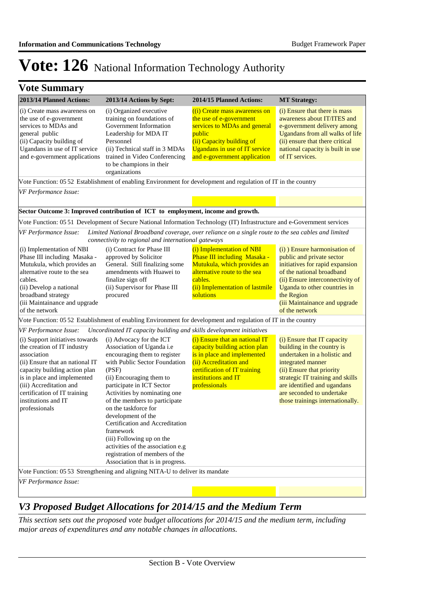| <b>Vote Summary</b>                                                                                                                                                                                                                                                                 |                                                                                                                                                                                                                                                                                                                                                                                                                                                             |                                                                                                                                                                                                  |                                                                                                                                                                                                                                                                                 |
|-------------------------------------------------------------------------------------------------------------------------------------------------------------------------------------------------------------------------------------------------------------------------------------|-------------------------------------------------------------------------------------------------------------------------------------------------------------------------------------------------------------------------------------------------------------------------------------------------------------------------------------------------------------------------------------------------------------------------------------------------------------|--------------------------------------------------------------------------------------------------------------------------------------------------------------------------------------------------|---------------------------------------------------------------------------------------------------------------------------------------------------------------------------------------------------------------------------------------------------------------------------------|
| 2013/14 Planned Actions:                                                                                                                                                                                                                                                            | 2013/14 Actions by Sept:                                                                                                                                                                                                                                                                                                                                                                                                                                    | 2014/15 Planned Actions:                                                                                                                                                                         | <b>MT Strategy:</b>                                                                                                                                                                                                                                                             |
| (i) Create mass awareness on<br>the use of e-government<br>services to MDAs and<br>general public<br>(ii) Capacity building of<br>Ugandans in use of IT service<br>and e-government applications                                                                                    | (i) Organized executive<br>training on foundations of<br>Government Information<br>Leadership for MDA IT<br>Personnel<br>(ii) Technical staff in 3 MDAs<br>trained in Video Conferencing<br>to be champions in their<br>organizations                                                                                                                                                                                                                       | ((i) Create mass awareness on<br>the use of e-government<br>services to MDAs and general<br>public<br>(ii) Capacity building of<br>Ugandans in use of IT service<br>and e-government application | (i) Ensure that there is mass<br>awareness about IT/ITES and<br>e-government delivery among<br>Ugandans from all walks of life<br>(ii) ensure that there critical<br>national capacity is built in use<br>of IT services.                                                       |
|                                                                                                                                                                                                                                                                                     | Vote Function: 05 52 Establishment of enabling Environment for development and regulation of IT in the country                                                                                                                                                                                                                                                                                                                                              |                                                                                                                                                                                                  |                                                                                                                                                                                                                                                                                 |
| VF Performance Issue:                                                                                                                                                                                                                                                               |                                                                                                                                                                                                                                                                                                                                                                                                                                                             |                                                                                                                                                                                                  |                                                                                                                                                                                                                                                                                 |
|                                                                                                                                                                                                                                                                                     | Sector Outcome 3: Improved contribution of ICT to employment, income and growth.                                                                                                                                                                                                                                                                                                                                                                            |                                                                                                                                                                                                  |                                                                                                                                                                                                                                                                                 |
|                                                                                                                                                                                                                                                                                     | Vote Function: 05 51 Development of Secure National Information Technology (IT) Infrastructure and e-Government services                                                                                                                                                                                                                                                                                                                                    |                                                                                                                                                                                                  |                                                                                                                                                                                                                                                                                 |
| VF Performance Issue:                                                                                                                                                                                                                                                               | Limited National Broadband coverage, over reliance on a single route to the sea cables and limited<br>connectivity to regional and international gateways                                                                                                                                                                                                                                                                                                   |                                                                                                                                                                                                  |                                                                                                                                                                                                                                                                                 |
| (i) Implementation of NBI<br>Phase III including Masaka -<br>Mutukula, which provides an<br>alternative route to the sea<br>cables.<br>(ii) Develop a national<br>broadband strategy<br>(iii Maintainance and upgrade<br>of the network                                             | (i) Contract for Phase III<br>approved by Solicitor<br>General. Still finalizing some<br>amendments with Huawei to<br>finalize sign off<br>(ii) Supervisor for Phase III<br>procured                                                                                                                                                                                                                                                                        | (i) Implementation of NBI<br>Phase III including Masaka -<br>Mutukula, which provides an<br>alternative route to the sea<br>cables.<br>(ii) Implementation of lastmile<br>solutions              | (i) Ensure harmonisation of<br>public and private sector<br>initiatives for rapid expansion<br>of the national broadband<br>(ii) Ensure interconnectivity of<br>Uganda to other countries in<br>the Region<br>(iii Maintainance and upgrade<br>of the network                   |
|                                                                                                                                                                                                                                                                                     | Vote Function: 05 52 Establishment of enabling Environment for development and regulation of IT in the country                                                                                                                                                                                                                                                                                                                                              |                                                                                                                                                                                                  |                                                                                                                                                                                                                                                                                 |
| VF Performance Issue:                                                                                                                                                                                                                                                               | Uncordinated IT capacity building and skills development initiatives                                                                                                                                                                                                                                                                                                                                                                                        |                                                                                                                                                                                                  |                                                                                                                                                                                                                                                                                 |
| (i) Support initiatives towards<br>the creation of IT industry<br>association<br>(ii) Ensure that an national IT<br>capacity building action plan<br>is in place and implemented<br>(iii) Accreditation and<br>certification of IT training<br>institutions and IT<br>professionals | (i) Advocacy for the ICT<br>Association of Uganda i.e<br>encouraging them to register<br>with Public Sector Foundation<br>(PSF)<br>(ii) Encouraging them to<br>participate in ICT Sector<br>Activities by nominating one<br>of the members to participate<br>on the taskforce for<br>development of the<br>Certification and Accreditation<br>framework<br>(iii) Following up on the<br>activities of the association e.g<br>registration of members of the | (i) Ensure that an national IT<br>capacity building action plan<br>is in place and implemented<br>(ii) Accreditation and<br>certification of IT training<br>institutions and IT<br>professionals | (i) Ensure that IT capacity<br>building in the country is<br>undertaken in a holistic and<br>integrated manner<br>(ii) Ensure that priority<br>strategic IT training and skills<br>are identified and ugandans<br>are seconded to undertake<br>those trainings internationally. |
|                                                                                                                                                                                                                                                                                     | Association that is in progress.                                                                                                                                                                                                                                                                                                                                                                                                                            |                                                                                                                                                                                                  |                                                                                                                                                                                                                                                                                 |
|                                                                                                                                                                                                                                                                                     | Vote Function: 05 53 Strengthening and aligning NITA-U to deliver its mandate                                                                                                                                                                                                                                                                                                                                                                               |                                                                                                                                                                                                  |                                                                                                                                                                                                                                                                                 |
| VF Performance Issue:                                                                                                                                                                                                                                                               |                                                                                                                                                                                                                                                                                                                                                                                                                                                             |                                                                                                                                                                                                  |                                                                                                                                                                                                                                                                                 |

## *V3 Proposed Budget Allocations for 2014/15 and the Medium Term*

*This section sets out the proposed vote budget allocations for 2014/15 and the medium term, including major areas of expenditures and any notable changes in allocations.*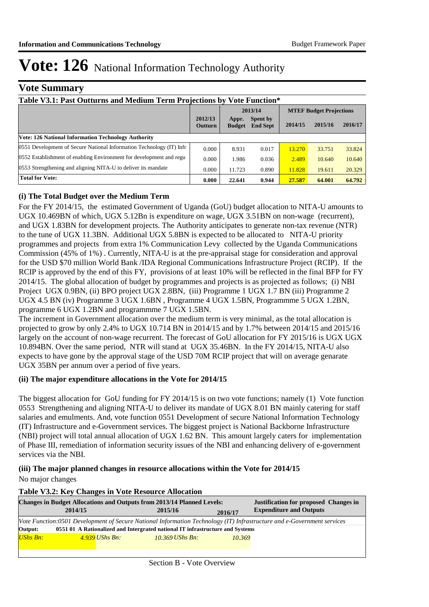### **Vote Summary**

| Table V3.1: Past Outturns and Medium Term Projections by Vote Function* |                           |                        |                                    |                                |         |         |  |
|-------------------------------------------------------------------------|---------------------------|------------------------|------------------------------------|--------------------------------|---------|---------|--|
|                                                                         |                           | 2013/14                |                                    | <b>MTEF Budget Projections</b> |         |         |  |
|                                                                         | 2012/13<br><b>Outturn</b> | Appr.<br><b>Budget</b> | <b>Spent by</b><br><b>End Sept</b> | 2014/15                        | 2015/16 | 2016/17 |  |
| <b>Vote: 126 National Information Technology Authority</b>              |                           |                        |                                    |                                |         |         |  |
| 0551 Development of Secure National Information Technology (IT) Infr    | 0.000                     | 8.931                  | 0.017                              | 13.270                         | 33.751  | 33.824  |  |
| 0552 Establishment of enabling Environment for development and regu     |                           | 1.986                  | 0.036                              | 2.489                          | 10.640  | 10.640  |  |
| 0553 Strengthening and aligning NITA-U to deliver its mandate           | 0.000                     | 11.723                 | 0.890                              | 11.828                         | 19.611  | 20.329  |  |
| <b>Total for Vote:</b>                                                  | 0.000                     | 22.641                 | 0.944                              | 27.587                         | 64.001  | 64.792  |  |

#### **(i) The Total Budget over the Medium Term**

For the FY 2014/15, the estimated Government of Uganda (GoU) budget allocation to NITA-U amounts to UGX 10.469BN of which, UGX 5.12Bn is expenditure on wage, UGX 3.51BN on non-wage (recurrent), and UGX 1.83BN for development projects. The Authority anticipates to generate non-tax revenue (NTR) to the tune of UGX 11.3BN. Additional UGX 5.8BN is expected to be allocated to NITA-U priority programmes and projects from extra 1% Communication Levy collected by the Uganda Communications Commission (45% of 1%) . Currently, NITA-U is at the pre-appraisal stage for consideration and approval for the USD \$70 million World Bank /IDA Regional Communications Infrastructure Project (RCIP). If the RCIP is approved by the end of this FY, provisions of at least 10% will be reflected in the final BFP for FY 2014/15. The global allocation of budget by programmes and projects is as projected as follows; (i) NBI Project UGX 0.9BN, (ii) BPO project UGX 2.8BN, (iii) Programme 1 UGX 1.7 BN (iii) Programme 2 UGX 4.5 BN (iv) Programme 3 UGX 1.6BN , Programme 4 UGX 1.5BN, Programmme 5 UGX 1.2BN, programme 6 UGX 1.2BN and programmme 7 UGX 1.5BN.

The increment in Government allocation over the medium term is very minimal, as the total allocation is projected to grow by only 2.4% to UGX 10.714 BN in 2014/15 and by 1.7% between 2014/15 and 2015/16 largely on the account of non-wage recurrent. The forecast of GoU allocation for FY 2015/16 is UGX UGX 10.894BN. Over the same period, NTR will stand at UGX 35.46BN. In the FY 2014/15, NITA-U also expects to have gone by the approval stage of the USD 70M RCIP project that will on average genarate UGX 35BN per annum over a period of five years.

#### **(ii) The major expenditure allocations in the Vote for 2014/15**

The biggest allocation for GoU funding for FY 2014/15 is on two vote functions; namely (1) Vote function 0553 Strengthening and aligning NITA-U to deliver its mandate of UGX 8.01 BN mainly catering for staff salaries and emulments. And, vote function 0551 Development of secure National Information Technology (IT) Infrastructure and e-Government services. The biggest project is National Backborne Infrastructure (NBI) project will total annual allocation of UGX 1.62 BN. This amount largely caters for implementation of Phase III, remediation of information security issues of the NBI and enhancing delivery of e-government services via the NBI.

#### **(iii) The major planned changes in resource allocations within the Vote for 2014/15** No major changes

#### **Table V3.2: Key Changes in Vote Resource Allocation**

| <b>Changes in Budget Allocations and Outputs from 2013/14 Planned Levels:</b> |                   |         | Justification for proposed Changes in                                                                                                                                                                   |
|-------------------------------------------------------------------------------|-------------------|---------|---------------------------------------------------------------------------------------------------------------------------------------------------------------------------------------------------------|
|                                                                               | 2015/16           | 2016/17 | <b>Expenditure and Outputs</b>                                                                                                                                                                          |
|                                                                               |                   |         |                                                                                                                                                                                                         |
|                                                                               |                   |         |                                                                                                                                                                                                         |
|                                                                               | $10.369$ UShs Bn: | 10.369  |                                                                                                                                                                                                         |
|                                                                               |                   |         |                                                                                                                                                                                                         |
|                                                                               | 4.939 UShs Bn:    |         | Vote Function:0501 Development of Secure National Information Technology (IT) Infrastructure and e-Government services<br>0551 01 A Rationalized and Intergrated national IT infrastructure and Systems |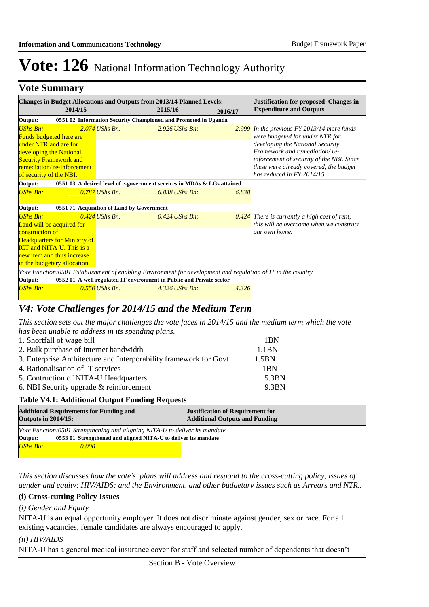### **Vote Summary**

| <b>Changes in Budget Allocations and Outputs from 2013/14 Planned Levels:</b><br><b>Justification for proposed Changes in</b> |  |                                           |                                                                         |         |                                                                                                                   |  |
|-------------------------------------------------------------------------------------------------------------------------------|--|-------------------------------------------|-------------------------------------------------------------------------|---------|-------------------------------------------------------------------------------------------------------------------|--|
| 2014/15                                                                                                                       |  |                                           | 2015/16                                                                 | 2016/17 | <b>Expenditure and Outputs</b>                                                                                    |  |
| 0551 02 Information Security Championed and Promoted in Uganda<br>Output:                                                     |  |                                           |                                                                         |         |                                                                                                                   |  |
| <b>UShs Bn:</b><br><b>Funds budgeted here are</b>                                                                             |  | $-2.074$ UShs Bn:                         | $2.926$ UShs Bn:                                                        |         | $2.999$ In the previous FY 2013/14 more funds<br>were budgeted for under NTR for                                  |  |
| under NTR and are for<br>developing the National                                                                              |  |                                           |                                                                         |         | developing the National Security<br>Framework and remediation/re-                                                 |  |
| <b>Security Framework and</b><br>remediation/re-inforcement<br>of security of the NBI.                                        |  |                                           |                                                                         |         | inforcement of security of the NBI. Since<br>these were already covered, the budget<br>has reduced in FY 2014/15. |  |
| Output:                                                                                                                       |  |                                           | 0551 03 A desired level of e-government services in MDAs & LGs attained |         |                                                                                                                   |  |
| <b>UShs Bn:</b>                                                                                                               |  | $0.787$ UShs Bn:                          | $6.838$ UShs Bn:                                                        | 6.838   |                                                                                                                   |  |
| Output:                                                                                                                       |  | 0551 71 Acquisition of Land by Government |                                                                         |         |                                                                                                                   |  |
| <b>UShs Bn:</b>                                                                                                               |  | $0.424$ UShs Bn:                          | $0.424$ UShs Bn:                                                        |         | $0.424$ There is currently a high cost of rent,                                                                   |  |
| Land will be acquired for                                                                                                     |  |                                           |                                                                         |         | this will be overcome when we construct                                                                           |  |
| construction of                                                                                                               |  |                                           |                                                                         |         | our own home.                                                                                                     |  |
| <b>Headquarters for Ministry of</b><br><b>ICT</b> and <b>NITA-U</b> . This is a                                               |  |                                           |                                                                         |         |                                                                                                                   |  |
| new item and thus increase                                                                                                    |  |                                           |                                                                         |         |                                                                                                                   |  |
| in the budgetary allocation.                                                                                                  |  |                                           |                                                                         |         |                                                                                                                   |  |
| Vote Function:0501 Establishment of enabling Environment for development and regulation of IT in the country                  |  |                                           |                                                                         |         |                                                                                                                   |  |
| Output:                                                                                                                       |  |                                           | 0552 01 A well regulated IT environment in Public and Private sector    |         |                                                                                                                   |  |
| <b>UShs Bn:</b>                                                                                                               |  | $0.550$ UShs Bn:                          | $4.326$ UShs Bn:                                                        | 4.326   |                                                                                                                   |  |

## *V4: Vote Challenges for 2014/15 and the Medium Term*

*This section sets out the major challenges the vote faces in 2014/15 and the medium term which the vote has been unable to address in its spending plans.*

| 1. Shortfall of wage bill                                         | 1 <sub>BN</sub>   |
|-------------------------------------------------------------------|-------------------|
| 2. Bulk purchase of Internet bandwidth                            | 1.1 <sub>BN</sub> |
| 3. Enterprise Architecture and Interporability framework for Govt | 1.5 <sub>BN</sub> |
| 4. Rationalisation of IT services                                 | 1BN               |
| 5. Contruction of NITA-U Headquarters                             | 5.3BN             |
| 6. NBI Security upgrade $&$ reinforcement                         | 9.3BN             |

#### **Table V4.1: Additional Output Funding Requests**

| <b>Additional Requirements for Funding and</b><br><b>Outputs in 2014/15:</b> |                                                                             | <b>Justification of Requirement for</b><br><b>Additional Outputs and Funding</b> |  |  |  |  |
|------------------------------------------------------------------------------|-----------------------------------------------------------------------------|----------------------------------------------------------------------------------|--|--|--|--|
|                                                                              | Vote Function:0501 Strengthening and aligning NITA-U to deliver its mandate |                                                                                  |  |  |  |  |
| Output:<br>0553 01 Strengthened and aligned NITA-U to deliver its mandate    |                                                                             |                                                                                  |  |  |  |  |
| <b>UShs Bn:</b>                                                              | 0.000                                                                       |                                                                                  |  |  |  |  |
|                                                                              |                                                                             |                                                                                  |  |  |  |  |

*This section discusses how the vote's plans will address and respond to the cross-cutting policy, issues of gender and equity; HIV/AIDS; and the Environment, and other budgetary issues such as Arrears and NTR..* 

#### **(i) Cross-cutting Policy Issues**

#### *(i) Gender and Equity*

NITA-U is an equal opportunity employer. It does not discriminate against gender, sex or race. For all existing vacancies, female candidates are always encouraged to apply.

*(ii) HIV/AIDS*

NITA-U has a general medical insurance cover for staff and selected number of dependents that doesn't